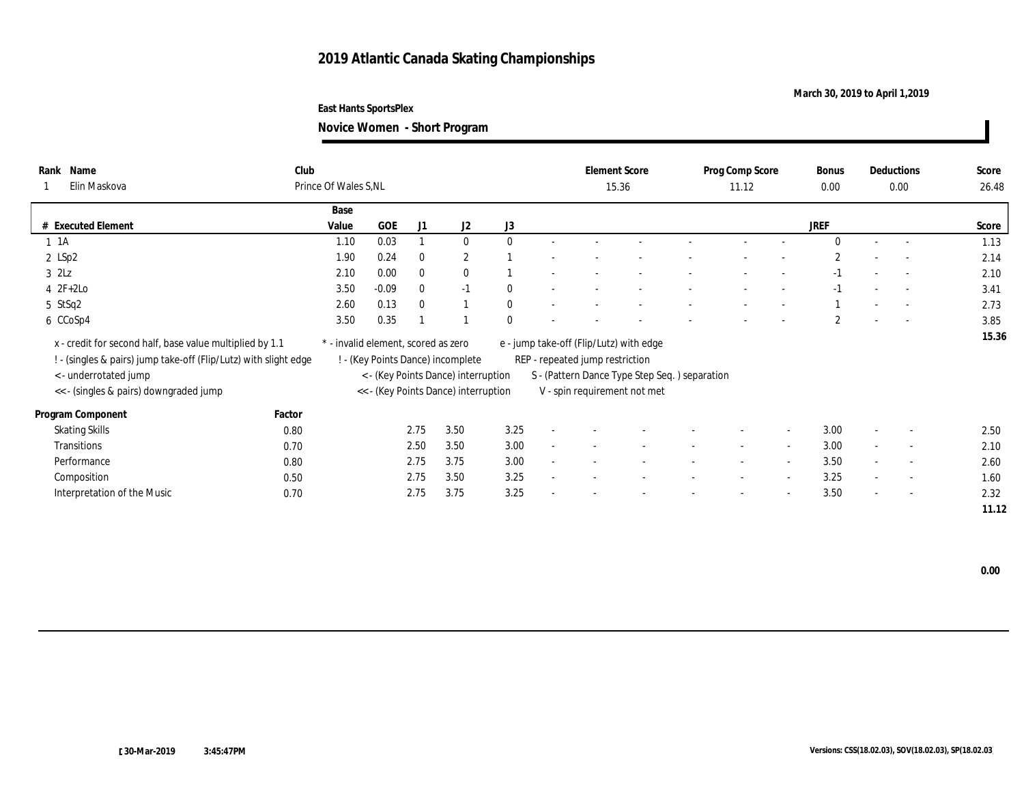## **March 30, 2019 to April 1,2019**

**Novice Women - Short Program**

| Rank Name<br>Elin Maskova                                                                                                    | Club   | Prince Of Wales S.NL                |            |              |                                      |              |        | <b>Element Score</b>                                                       | 15.36 |        | Prog Comp Score<br>11.12 |                          | Bonus<br>0.00  |        | Deductions<br>0.00       | Score<br>26.48 |
|------------------------------------------------------------------------------------------------------------------------------|--------|-------------------------------------|------------|--------------|--------------------------------------|--------------|--------|----------------------------------------------------------------------------|-------|--------|--------------------------|--------------------------|----------------|--------|--------------------------|----------------|
|                                                                                                                              |        | Base                                |            |              |                                      |              |        |                                                                            |       |        |                          |                          |                |        |                          |                |
| # Executed Element                                                                                                           |        | Value                               | <b>GOE</b> | J1           | J2                                   | J3           |        |                                                                            |       |        |                          |                          | <b>JREF</b>    |        |                          | Score          |
| $1 \t1A$                                                                                                                     |        | 1.10                                | 0.03       |              | $\bf{0}$                             | $\mathbf{0}$ |        |                                                                            |       |        |                          |                          | $\mathbf{0}$   |        | $\overline{a}$           | 1.13           |
| $2$ LSp2                                                                                                                     |        | 1.90                                | 0.24       | $\mathbf{0}$ | $\mathbf{2}$                         |              |        |                                                                            |       |        |                          |                          | $\overline{2}$ |        | $\overline{a}$           | 2.14           |
| $3$ $2\text{L}z$                                                                                                             |        | 2.10                                | 0.00       | $\mathbf{0}$ | $\bf{0}$                             |              |        |                                                                            |       |        |                          |                          | $-1$           |        | $\sim$                   | 2.10           |
| $4 \t2F+2Lo$                                                                                                                 |        | 3.50                                | $-0.09$    | $\mathbf{0}$ | $-1$                                 | $\bf{0}$     |        |                                                                            |       |        |                          |                          | $-1$           |        | $\sim$                   | 3.41           |
| 5 StSq2                                                                                                                      |        | 2.60                                | 0.13       | $\Omega$     |                                      | $\theta$     |        |                                                                            |       |        |                          |                          |                |        |                          | 2.73           |
| 6 CCoSp4                                                                                                                     |        | 3.50                                | 0.35       |              |                                      | $\mathbf{0}$ |        |                                                                            |       |        |                          |                          | $\mathbf{2}$   |        | $\sim$                   | 3.85           |
| x - credit for second half, base value multiplied by 1.1<br>! - (singles & pairs) jump take-off (Flip/Lutz) with slight edge |        | * - invalid element, scored as zero |            |              | ! - (Key Points Dance) incomplete    |              |        | e - jump take-off (Flip/Lutz) with edge<br>REP - repeated jump restriction |       |        |                          |                          |                |        |                          | 15.36          |
| < - underrotated jump                                                                                                        |        |                                     |            |              | < - (Key Points Dance) interruption  |              |        | S - (Pattern Dance Type Step Seq.) separation                              |       |        |                          |                          |                |        |                          |                |
| << - (singles & pairs) downgraded jump                                                                                       |        |                                     |            |              | << - (Key Points Dance) interruption |              |        | V - spin requirement not met                                               |       |        |                          |                          |                |        |                          |                |
| Program Component                                                                                                            | Factor |                                     |            |              |                                      |              |        |                                                                            |       |        |                          |                          |                |        |                          |                |
| <b>Skating Skills</b>                                                                                                        | 0.80   |                                     |            | 2.75         | 3.50                                 | 3.25         | $\sim$ |                                                                            |       |        |                          | $\overline{\phantom{a}}$ | 3.00           |        | $\overline{\phantom{a}}$ | 2.50           |
| <b>Transitions</b>                                                                                                           | 0.70   |                                     |            | 2.50         | 3.50                                 | 3.00         |        |                                                                            |       |        |                          | $\sim$                   | 3.00           | $\sim$ | $\overline{\phantom{a}}$ | 2.10           |
| Performance                                                                                                                  | 0.80   |                                     |            | 2.75         | 3.75                                 | 3.00         |        |                                                                            |       | $\sim$ | $\sim$                   | $\sim$                   | 3.50           | $\sim$ | $\sim$                   | 2.60           |
| Composition                                                                                                                  | 0.50   |                                     |            | 2.75         | 3.50                                 | 3.25         |        |                                                                            |       |        |                          | $\sim$                   | 3.25           |        | $\sim$                   | 1.60           |
| Interpretation of the Music                                                                                                  | 0.70   |                                     |            | 2.75         | 3.75                                 | 3.25         |        |                                                                            |       |        | -                        | $\overline{\phantom{a}}$ | 3.50           | $\sim$ | $\sim$                   | 2.32           |
|                                                                                                                              |        |                                     |            |              |                                      |              |        |                                                                            |       |        |                          |                          |                |        |                          | 11.12          |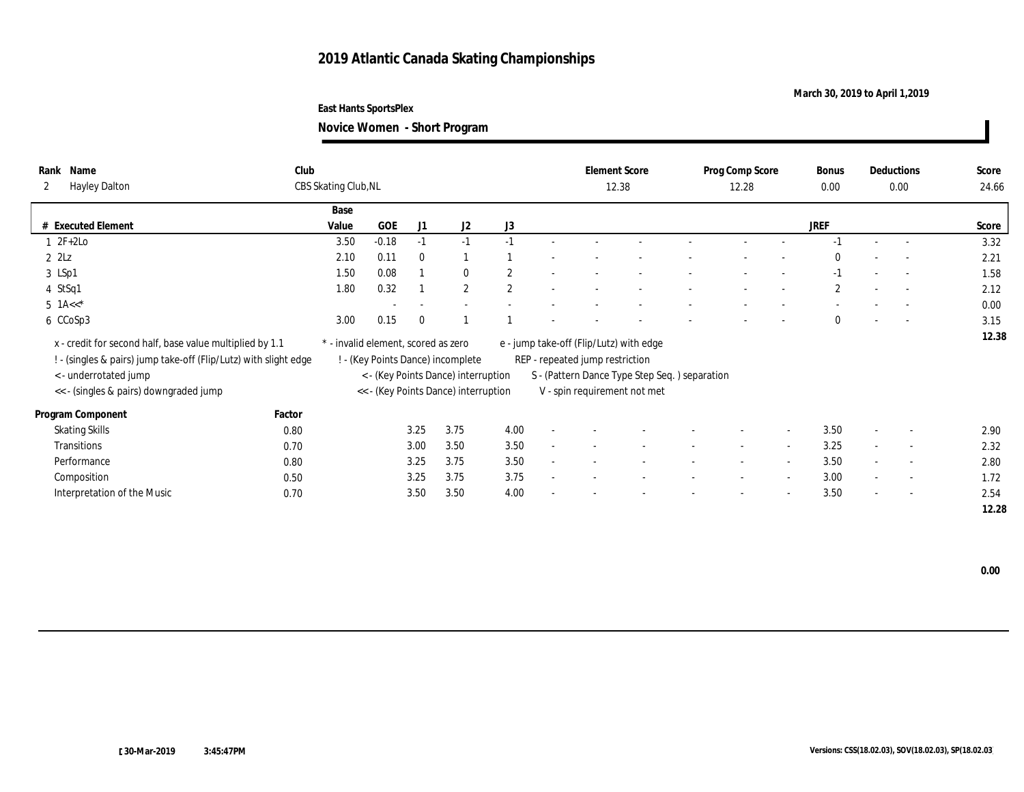## **March 30, 2019 to April 1,2019**

**Novice Women - Short Program**

| Name<br>Rank<br><b>Hayley Dalton</b><br>$\mathbf{2}$                                                                                                  | Club   | CBS Skating Club, NL                |         |          |                                                                          |                |        | <b>Element Score</b>                                                       | 12.38                                         | Prog Comp Score<br>12.28 |                          | Bonus<br>0.00    |                          | Deductions<br>0.00       | Score<br>24.66 |
|-------------------------------------------------------------------------------------------------------------------------------------------------------|--------|-------------------------------------|---------|----------|--------------------------------------------------------------------------|----------------|--------|----------------------------------------------------------------------------|-----------------------------------------------|--------------------------|--------------------------|------------------|--------------------------|--------------------------|----------------|
|                                                                                                                                                       |        | Base                                |         |          |                                                                          |                |        |                                                                            |                                               |                          |                          |                  |                          |                          |                |
| <b>Executed Element</b>                                                                                                                               |        | Value                               | GOE     | J1       | J2                                                                       | J3             |        |                                                                            |                                               |                          |                          | JREF             |                          |                          | Score          |
| $2F+2Lo$                                                                                                                                              |        | 3.50                                | $-0.18$ | $-1$     | $-1$                                                                     | $-1$           |        |                                                                            |                                               |                          |                          | $-1$             | $\sim$                   | $\overline{\phantom{a}}$ | 3.32           |
| $2$ $2$ Lz                                                                                                                                            |        | 2.10                                | 0.11    | $\Omega$ |                                                                          |                |        |                                                                            |                                               |                          |                          | $\Omega$         |                          |                          | 2.21           |
| 3 LSp1                                                                                                                                                |        | 1.50                                | 0.08    |          | $\mathbf{0}$                                                             | $\overline{2}$ |        |                                                                            |                                               |                          |                          | $-1$             | $\sim$                   | $\sim$                   | 1.58           |
| 4 StSq1                                                                                                                                               |        | 1.80                                | 0.32    |          | $\mathbf{2}$                                                             | $\overline{2}$ |        |                                                                            |                                               |                          |                          | $\boldsymbol{2}$ |                          |                          | 2.12           |
| 5 $1A<<^*$                                                                                                                                            |        |                                     |         |          |                                                                          |                |        |                                                                            |                                               |                          |                          |                  |                          |                          | 0.00           |
| 6 CCoSp3                                                                                                                                              |        | 3.00                                | 0.15    | $\Omega$ |                                                                          |                |        |                                                                            |                                               |                          |                          | $\bf{0}$         | $\overline{\phantom{a}}$ | $\sim$                   | 3.15           |
| x - credit for second half, base value multiplied by 1.1<br>! - (singles & pairs) jump take-off (Flip/Lutz) with slight edge<br>< - underrotated jump |        | * - invalid element, scored as zero |         |          | ! - (Key Points Dance) incomplete<br>< - (Key Points Dance) interruption |                |        | e - jump take-off (Flip/Lutz) with edge<br>REP - repeated jump restriction | S - (Pattern Dance Type Step Seq.) separation |                          |                          |                  |                          |                          | 12.38          |
| << - (singles & pairs) downgraded jump                                                                                                                |        |                                     |         |          | << - (Key Points Dance) interruption                                     |                |        |                                                                            | V - spin requirement not met                  |                          |                          |                  |                          |                          |                |
| Program Component                                                                                                                                     | Factor |                                     |         |          |                                                                          |                |        |                                                                            |                                               |                          |                          |                  |                          |                          |                |
| <b>Skating Skills</b>                                                                                                                                 | 0.80   |                                     |         | 3.25     | 3.75                                                                     | 4.00           | $\sim$ |                                                                            |                                               |                          | $\overline{\phantom{a}}$ | 3.50             | $\sim$                   | $\sim$                   | 2.90           |
| Transitions                                                                                                                                           | 0.70   |                                     |         | 3.00     | 3.50                                                                     | 3.50           | $\sim$ |                                                                            |                                               | $\overline{\phantom{a}}$ | $\sim$                   | 3.25             | $\sim$                   | $\sim$                   | 2.32           |
| Performance                                                                                                                                           | 0.80   |                                     |         | 3.25     | 3.75                                                                     | 3.50           |        |                                                                            |                                               | $\sim$                   | $\overline{a}$           | 3.50             | $\sim$                   | $\overline{\phantom{a}}$ | 2.80           |
| Composition                                                                                                                                           | 0.50   |                                     |         | 3.25     | 3.75                                                                     | 3.75           |        |                                                                            |                                               |                          | $\overline{a}$           | 3.00             |                          | $\overline{\phantom{a}}$ | 1.72           |
| Interpretation of the Music                                                                                                                           | 0.70   |                                     |         | 3.50     | 3.50                                                                     | 4.00           |        |                                                                            |                                               | $\overline{\phantom{a}}$ | $\overline{\phantom{a}}$ | 3.50             | $\sim$                   | $\sim$                   | 2.54           |
|                                                                                                                                                       |        |                                     |         |          |                                                                          |                |        |                                                                            |                                               |                          |                          |                  |                          |                          | 12.28          |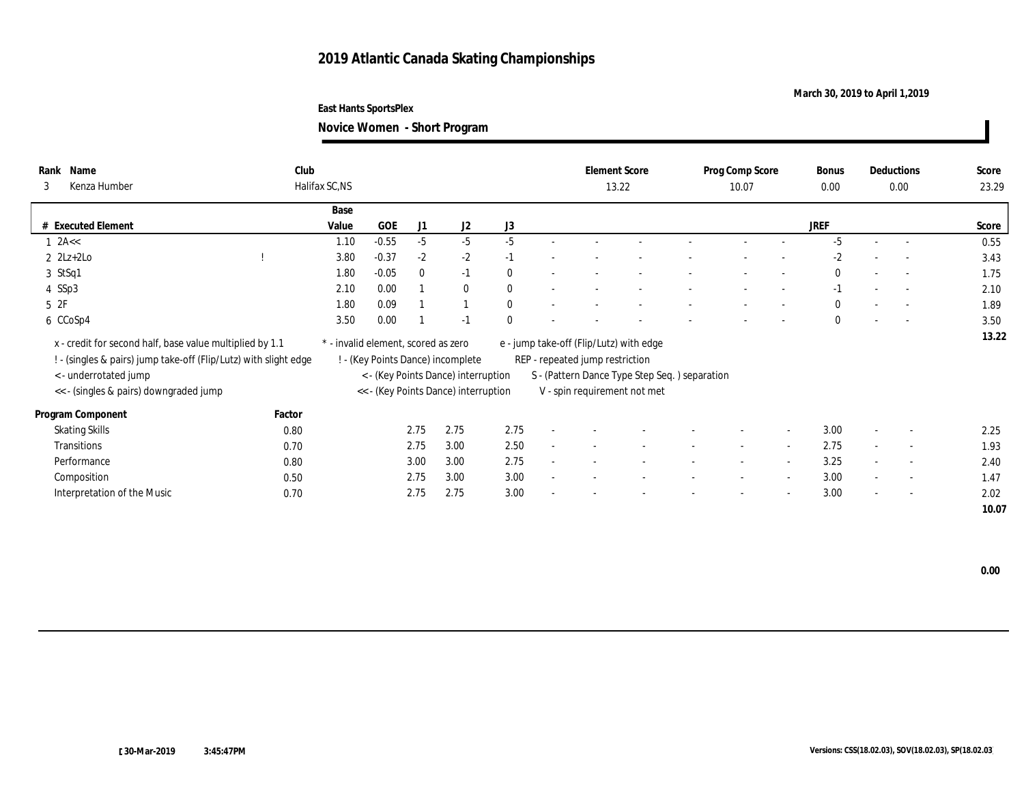## **March 30, 2019 to April 1,2019**

**East Hants SportsPlex**

**Novice Women - Short Program**

| Name<br>Rank<br>Kenza Humber<br>3                                                                                            | Club   | Halifax SC,NS |                                     |              |                                      |              |                          | <b>Element Score</b>                                                       | 13.22 | Prog Comp Score<br>10.07 |                          | Bonus<br>0.00 |                          | Deductions<br>0.00       | Score<br>23.29 |
|------------------------------------------------------------------------------------------------------------------------------|--------|---------------|-------------------------------------|--------------|--------------------------------------|--------------|--------------------------|----------------------------------------------------------------------------|-------|--------------------------|--------------------------|---------------|--------------------------|--------------------------|----------------|
|                                                                                                                              |        | Base          |                                     |              |                                      |              |                          |                                                                            |       |                          |                          |               |                          |                          |                |
| # Executed Element                                                                                                           |        | Value         | GOE                                 | J1           | J2                                   | J3           |                          |                                                                            |       |                          |                          | <b>JREF</b>   |                          |                          | Score          |
| $1$ 2A $\lt$                                                                                                                 |        | 1.10          | $-0.55$                             | $-5$         | $-5$                                 | $-5$         |                          |                                                                            |       | $\overline{\phantom{a}}$ |                          | $-5$          | $\sim$                   | $\overline{a}$           | 0.55           |
| $2 \text{ } 2\text{Lz}+2\text{Lo}$                                                                                           |        | 3.80          | $-0.37$                             | $-2$         | $-2$                                 | $-1$         |                          |                                                                            |       |                          |                          | $-2$          |                          | $\overline{\phantom{a}}$ | 3.43           |
| 3 StSq1                                                                                                                      |        | 1.80          | $-0.05$                             | $\mathbf{0}$ | $-1$                                 | $\theta$     |                          |                                                                            |       | $\qquad \qquad -$        |                          | $\mathbf{0}$  | $\sim$                   | $\sim$                   | 1.75           |
| 4 SSp3                                                                                                                       |        | 2.10          | 0.00                                |              | $\mathbf{0}$                         | $\mathbf{0}$ |                          |                                                                            |       |                          |                          | $-1$          |                          | $\sim$                   | 2.10           |
| 5 2F                                                                                                                         |        | 1.80          | 0.09                                |              |                                      | $\theta$     |                          |                                                                            |       |                          |                          | $\theta$      |                          | $\overline{\phantom{a}}$ | 1.89           |
| 6 CCoSp4                                                                                                                     |        | 3.50          | 0.00                                |              | $-1$                                 | $\theta$     |                          |                                                                            |       |                          |                          | $\Omega$      | $\overline{\phantom{a}}$ | $\sim$                   | 3.50           |
| x - credit for second half, base value multiplied by 1.1<br>! - (singles & pairs) jump take-off (Flip/Lutz) with slight edge |        |               | * - invalid element, scored as zero |              | ! - (Key Points Dance) incomplete    |              |                          | e - jump take-off (Flip/Lutz) with edge<br>REP - repeated jump restriction |       |                          |                          |               |                          |                          | 13.22          |
| < - underrotated jump                                                                                                        |        |               |                                     |              | < - (Key Points Dance) interruption  |              |                          | S - (Pattern Dance Type Step Seq.) separation                              |       |                          |                          |               |                          |                          |                |
| << - (singles & pairs) downgraded jump                                                                                       |        |               |                                     |              | << - (Key Points Dance) interruption |              |                          | V - spin requirement not met                                               |       |                          |                          |               |                          |                          |                |
| Program Component                                                                                                            | Factor |               |                                     |              |                                      |              |                          |                                                                            |       |                          |                          |               |                          |                          |                |
| <b>Skating Skills</b>                                                                                                        | 0.80   |               |                                     | 2.75         | 2.75                                 | 2.75         |                          |                                                                            |       |                          | $\overline{\phantom{a}}$ | 3.00          |                          | $\overline{\phantom{a}}$ | 2.25           |
| Transitions                                                                                                                  | 0.70   |               |                                     | 2.75         | 3.00                                 | 2.50         |                          |                                                                            |       |                          | $\overline{\phantom{a}}$ | 2.75          | $\sim$                   | $\overline{\phantom{a}}$ | 1.93           |
| Performance                                                                                                                  | 0.80   |               |                                     | 3.00         | 3.00                                 | 2.75         |                          |                                                                            |       | $\sim$                   | $\sim$                   | 3.25          |                          | $\sim$                   | 2.40           |
| Composition                                                                                                                  | 0.50   |               |                                     | 2.75         | 3.00                                 | 3.00         |                          |                                                                            |       |                          | $\overline{\phantom{a}}$ | 3.00          |                          | $\overline{\phantom{a}}$ | 1.47           |
| Interpretation of the Music                                                                                                  | 0.70   |               |                                     | 2.75         | 2.75                                 | 3.00         | $\overline{\phantom{0}}$ |                                                                            |       | $\overline{\phantom{a}}$ | $\overline{\phantom{a}}$ | 3.00          | $\sim$                   | $\overline{\phantom{a}}$ | 2.02           |
|                                                                                                                              |        |               |                                     |              |                                      |              |                          |                                                                            |       |                          |                          |               |                          |                          | 10.07          |

 **0.00**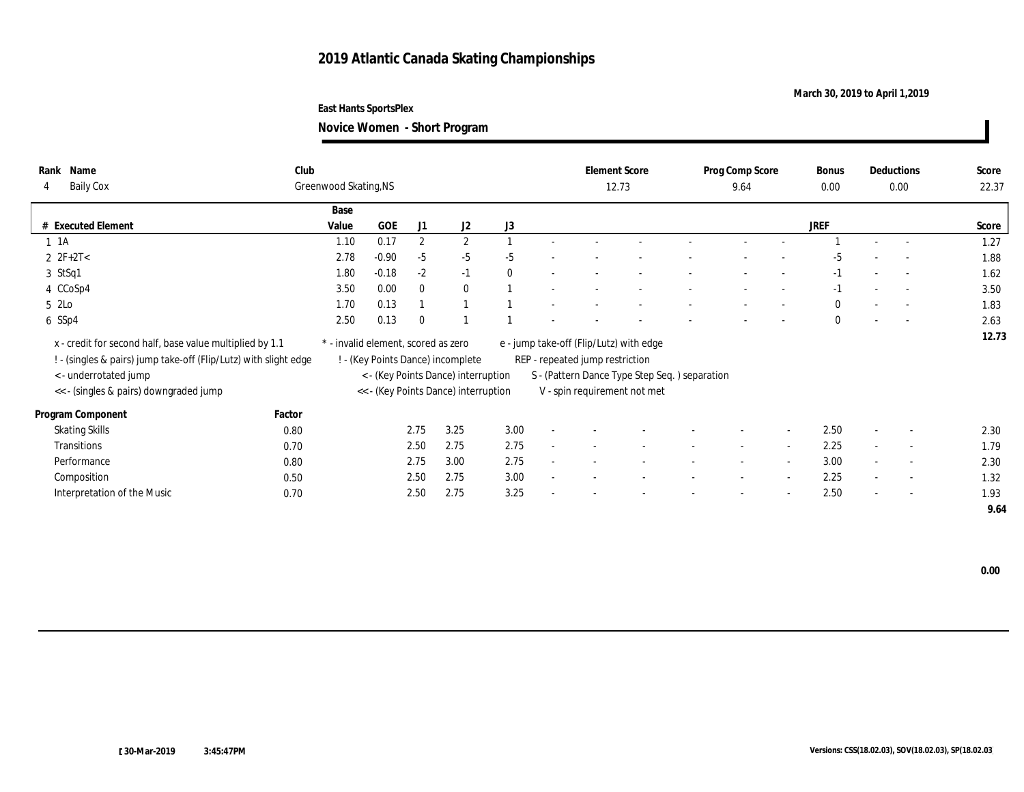## **March 30, 2019 to April 1,2019**

**Novice Women - Short Program**

| Name<br>Rank<br><b>Baily Cox</b><br>4                                                                                        | Club   | Greenwood Skating, NS               |         |                |                                      |          |                          | <b>Element Score</b>                                                       | 12.73                                         |                          | Prog Comp Score<br>9.64  |                          | <b>Bonus</b><br>0.00 |                          | Deductions<br>0.00       | Score<br>22.37 |
|------------------------------------------------------------------------------------------------------------------------------|--------|-------------------------------------|---------|----------------|--------------------------------------|----------|--------------------------|----------------------------------------------------------------------------|-----------------------------------------------|--------------------------|--------------------------|--------------------------|----------------------|--------------------------|--------------------------|----------------|
|                                                                                                                              |        | Base                                |         |                |                                      |          |                          |                                                                            |                                               |                          |                          |                          |                      |                          |                          |                |
| <b>Executed Element</b>                                                                                                      |        | Value                               | GOE     | J1             | J2                                   | J3       |                          |                                                                            |                                               |                          |                          |                          | <b>JREF</b>          |                          |                          | Score          |
| $1 \t1A$                                                                                                                     |        | 1.10                                | 0.17    | $\overline{2}$ | $\mathbf{2}$                         |          |                          |                                                                            |                                               |                          |                          |                          |                      |                          |                          | 1.27           |
| $2 \text{ } 2F + 2T <$                                                                                                       |        | 2.78                                | $-0.90$ | $-5$           | $-5$                                 | $-5$     |                          |                                                                            |                                               |                          |                          |                          | -5                   |                          |                          | 1.88           |
| 3 StSq1                                                                                                                      |        | 1.80                                | $-0.18$ | $-2$           | $-1$                                 | $\theta$ |                          |                                                                            |                                               |                          |                          |                          | $-1$                 |                          | $\sim$                   | 1.62           |
| 4 CCoSp4                                                                                                                     |        | 3.50                                | 0.00    | $\Omega$       | $\bf{0}$                             |          |                          |                                                                            |                                               |                          |                          |                          | $-1$                 |                          |                          | 3.50           |
| 5 2Lo                                                                                                                        |        | 1.70                                | 0.13    |                |                                      |          |                          |                                                                            |                                               |                          |                          |                          | $\bf{0}$             |                          |                          | 1.83           |
| 6 SSp4                                                                                                                       |        | 2.50                                | 0.13    | $\Omega$       |                                      |          |                          |                                                                            |                                               |                          |                          |                          | $\mathbf{0}$         |                          |                          | 2.63           |
| x - credit for second half, base value multiplied by 1.1<br>! - (singles & pairs) jump take-off (Flip/Lutz) with slight edge |        | * - invalid element, scored as zero |         |                | ! - (Key Points Dance) incomplete    |          |                          | e - jump take-off (Flip/Lutz) with edge<br>REP - repeated jump restriction |                                               |                          |                          |                          |                      |                          |                          | 12.73          |
| < - underrotated jump                                                                                                        |        |                                     |         |                | < - (Key Points Dance) interruption  |          |                          |                                                                            | S - (Pattern Dance Type Step Seq.) separation |                          |                          |                          |                      |                          |                          |                |
| << - (singles & pairs) downgraded jump                                                                                       |        |                                     |         |                | << - (Key Points Dance) interruption |          |                          |                                                                            | V - spin requirement not met                  |                          |                          |                          |                      |                          |                          |                |
| Program Component                                                                                                            | Factor |                                     |         |                |                                      |          |                          |                                                                            |                                               |                          |                          |                          |                      |                          |                          |                |
| <b>Skating Skills</b>                                                                                                        | 0.80   |                                     |         | 2.75           | 3.25                                 | 3.00     | $\sim$                   |                                                                            |                                               |                          |                          | $\overline{a}$           | 2.50                 | $\overline{\phantom{a}}$ | $\overline{\phantom{a}}$ | 2.30           |
| Transitions                                                                                                                  | 0.70   |                                     |         | 2.50           | 2.75                                 | 2.75     |                          |                                                                            |                                               | $\sim$                   | $\sim$                   | $\overline{a}$           | 2.25                 | $\sim$                   | $\sim$                   | 1.79           |
| Performance                                                                                                                  | 0.80   |                                     |         | 2.75           | 3.00                                 | 2.75     |                          |                                                                            |                                               |                          |                          |                          | 3.00                 | $\sim$                   | $\sim$                   | 2.30           |
| Composition                                                                                                                  | 0.50   |                                     |         | 2.50           | 2.75                                 | 3.00     | $\overline{\phantom{0}}$ |                                                                            |                                               | $\overline{\phantom{a}}$ | $\overline{\phantom{a}}$ | $\overline{a}$           | 2.25                 | $\sim$                   | $\sim$                   | 1.32           |
| Interpretation of the Music                                                                                                  | 0.70   |                                     |         | 2.50           | 2.75                                 | 3.25     | $\overline{\phantom{a}}$ |                                                                            |                                               |                          |                          | $\overline{\phantom{a}}$ | 2.50                 | $\overline{\phantom{a}}$ | $\sim$                   | 1.93           |
|                                                                                                                              |        |                                     |         |                |                                      |          |                          |                                                                            |                                               |                          |                          |                          |                      |                          |                          | 9.64           |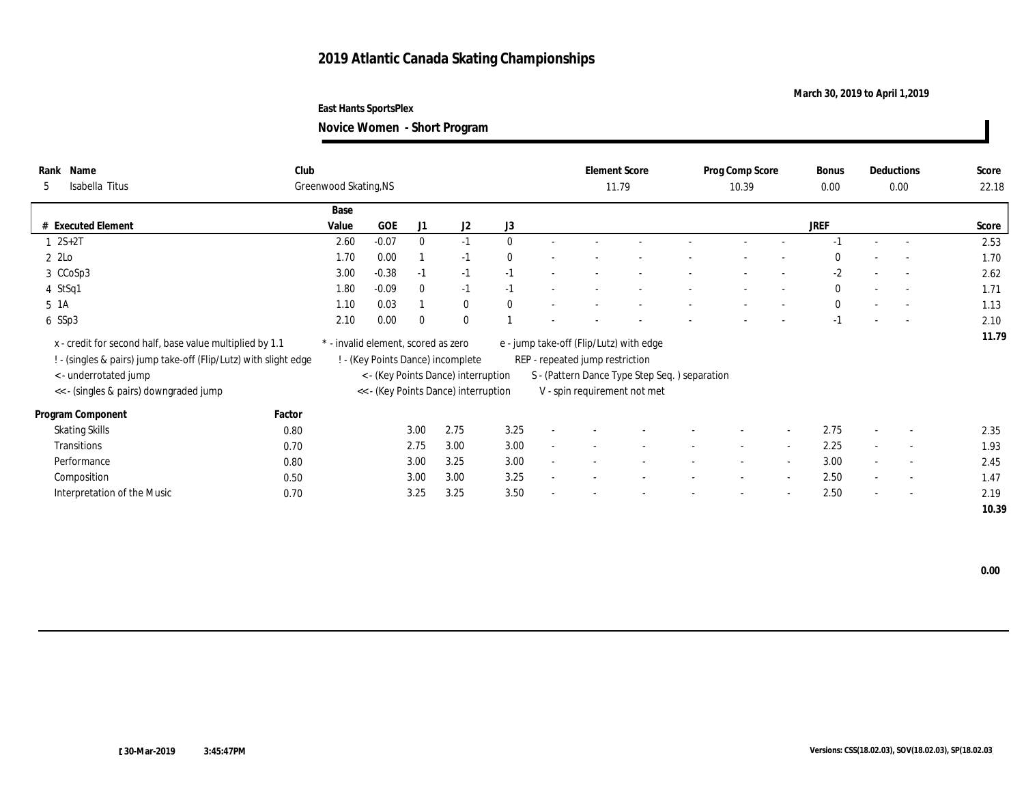## **March 30, 2019 to April 1,2019**

**Novice Women - Short Program**

| Name<br>Rank<br>Isabella Titus<br>5                                                                                                                   | Club   | Greenwood Skating, NS               |         |              |                                                                          |              |                          | <b>Element Score</b>                                                       | 11.79                                         | Prog Comp Score<br>10.39 |                          | Bonus<br>0.00 |        | Deductions<br>0.00       | Score<br>22.18 |
|-------------------------------------------------------------------------------------------------------------------------------------------------------|--------|-------------------------------------|---------|--------------|--------------------------------------------------------------------------|--------------|--------------------------|----------------------------------------------------------------------------|-----------------------------------------------|--------------------------|--------------------------|---------------|--------|--------------------------|----------------|
|                                                                                                                                                       |        | Base                                |         |              |                                                                          |              |                          |                                                                            |                                               |                          |                          |               |        |                          |                |
| <b>Executed Element</b>                                                                                                                               |        | Value                               | GOE     | J1           | J2                                                                       | J3           |                          |                                                                            |                                               |                          |                          | JREF          |        |                          | Score          |
| $2S+2T$                                                                                                                                               |        | 2.60                                | $-0.07$ | $\mathbf{0}$ | $-1$                                                                     | $\theta$     |                          |                                                                            |                                               |                          |                          | $-1$          | $\sim$ | $\overline{\phantom{a}}$ | 2.53           |
| 2 2Lo                                                                                                                                                 |        | 1.70                                | 0.00    |              | $-1$                                                                     | $\theta$     |                          |                                                                            |                                               |                          |                          | $\Omega$      |        |                          | 1.70           |
| 3 CCoSp3                                                                                                                                              |        | 3.00                                | $-0.38$ | $-1$         | $-1$                                                                     | $-1$         |                          |                                                                            |                                               |                          |                          | $-2$          | $\sim$ | $\sim$                   | 2.62           |
| 4 StSq1                                                                                                                                               |        | 1.80                                | $-0.09$ | $\Omega$     | $-1$                                                                     | $-1$         |                          |                                                                            |                                               |                          |                          | $\bf{0}$      |        |                          | 1.71           |
| 5 1A                                                                                                                                                  |        | 1.10                                | 0.03    |              | $\bf{0}$                                                                 | $\mathbf{0}$ |                          |                                                                            |                                               |                          |                          | $\mathbf{0}$  |        |                          | 1.13           |
| 6 SSp3                                                                                                                                                |        | 2.10                                | 0.00    | $\Omega$     | $\mathbf{0}$                                                             |              |                          |                                                                            |                                               |                          |                          | $-1$          | $\sim$ | $\sim$                   | 2.10           |
| x - credit for second half, base value multiplied by 1.1<br>! - (singles & pairs) jump take-off (Flip/Lutz) with slight edge<br>< - underrotated jump |        | * - invalid element, scored as zero |         |              | ! - (Key Points Dance) incomplete<br>< - (Key Points Dance) interruption |              |                          | e - jump take-off (Flip/Lutz) with edge<br>REP - repeated jump restriction | S - (Pattern Dance Type Step Seq.) separation |                          |                          |               |        |                          | 11.79          |
| << - (singles & pairs) downgraded jump                                                                                                                |        |                                     |         |              | << - (Key Points Dance) interruption                                     |              |                          |                                                                            | V - spin requirement not met                  |                          |                          |               |        |                          |                |
|                                                                                                                                                       |        |                                     |         |              |                                                                          |              |                          |                                                                            |                                               |                          |                          |               |        |                          |                |
| Program Component                                                                                                                                     | Factor |                                     |         |              |                                                                          |              |                          |                                                                            |                                               |                          |                          |               |        |                          |                |
| <b>Skating Skills</b>                                                                                                                                 | 0.80   |                                     |         | 3.00         | 2.75                                                                     | 3.25         | $\sim$                   |                                                                            |                                               |                          | $\overline{\phantom{a}}$ | 2.75          | $\sim$ | $\sim$                   | 2.35           |
| Transitions                                                                                                                                           | 0.70   |                                     |         | 2.75         | 3.00                                                                     | 3.00         | $\sim$                   |                                                                            |                                               | $\overline{\phantom{a}}$ | $\overline{\phantom{a}}$ | 2.25          | $\sim$ | $\sim$                   | 1.93           |
| Performance                                                                                                                                           | 0.80   |                                     |         | 3.00         | 3.25                                                                     | 3.00         |                          |                                                                            |                                               | $\sim$                   | $\overline{a}$           | 3.00          | $\sim$ | $\overline{\phantom{a}}$ | 2.45           |
| Composition                                                                                                                                           | 0.50   |                                     |         | 3.00         | 3.00                                                                     | 3.25         |                          |                                                                            |                                               |                          |                          | 2.50          |        | $\overline{\phantom{a}}$ | 1.47           |
| Interpretation of the Music                                                                                                                           | 0.70   |                                     |         | 3.25         | 3.25                                                                     | 3.50         | $\overline{\phantom{a}}$ |                                                                            |                                               | $\overline{\phantom{a}}$ | $\overline{\phantom{a}}$ | 2.50          | $\sim$ | $\sim$                   | 2.19           |
|                                                                                                                                                       |        |                                     |         |              |                                                                          |              |                          |                                                                            |                                               |                          |                          |               |        |                          | 10.39          |